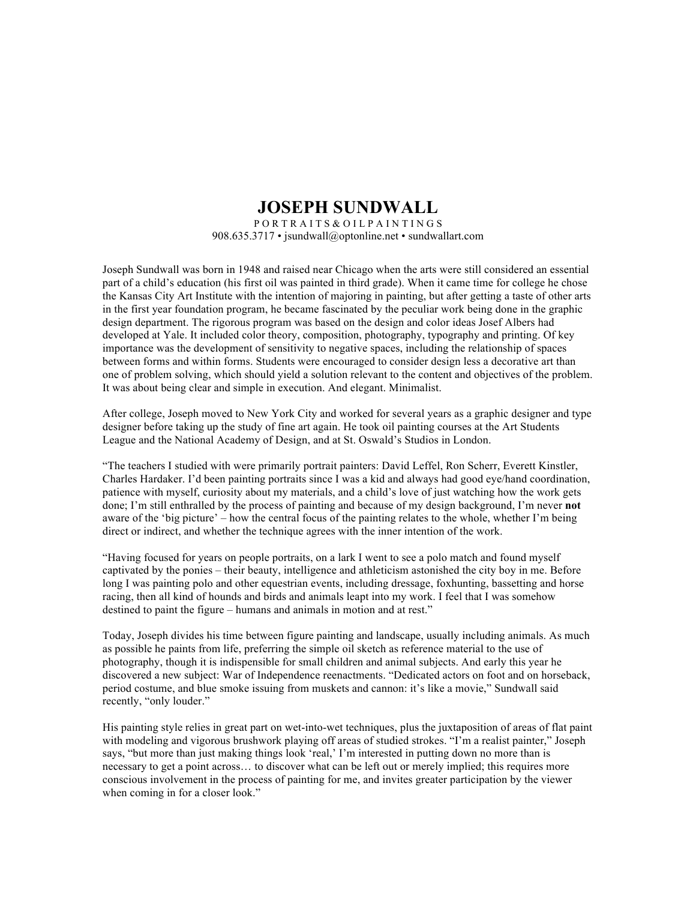## **JOSEPH SUNDWALL**

P O R T R A I T S & O I L P A I N T I N G S 908.635.3717 • jsundwall@optonline.net • sundwallart.com

Joseph Sundwall was born in 1948 and raised near Chicago when the arts were still considered an essential part of a child's education (his first oil was painted in third grade). When it came time for college he chose the Kansas City Art Institute with the intention of majoring in painting, but after getting a taste of other arts in the first year foundation program, he became fascinated by the peculiar work being done in the graphic design department. The rigorous program was based on the design and color ideas Josef Albers had developed at Yale. It included color theory, composition, photography, typography and printing. Of key importance was the development of sensitivity to negative spaces, including the relationship of spaces between forms and within forms. Students were encouraged to consider design less a decorative art than one of problem solving, which should yield a solution relevant to the content and objectives of the problem. It was about being clear and simple in execution. And elegant. Minimalist.

After college, Joseph moved to New York City and worked for several years as a graphic designer and type designer before taking up the study of fine art again. He took oil painting courses at the Art Students League and the National Academy of Design, and at St. Oswald's Studios in London.

"The teachers I studied with were primarily portrait painters: David Leffel, Ron Scherr, Everett Kinstler, Charles Hardaker. I'd been painting portraits since I was a kid and always had good eye/hand coordination, patience with myself, curiosity about my materials, and a child's love of just watching how the work gets done; I'm still enthralled by the process of painting and because of my design background, I'm never **not** aware of the 'big picture' – how the central focus of the painting relates to the whole, whether I'm being direct or indirect, and whether the technique agrees with the inner intention of the work.

"Having focused for years on people portraits, on a lark I went to see a polo match and found myself captivated by the ponies – their beauty, intelligence and athleticism astonished the city boy in me. Before long I was painting polo and other equestrian events, including dressage, foxhunting, bassetting and horse racing, then all kind of hounds and birds and animals leapt into my work. I feel that I was somehow destined to paint the figure – humans and animals in motion and at rest."

Today, Joseph divides his time between figure painting and landscape, usually including animals. As much as possible he paints from life, preferring the simple oil sketch as reference material to the use of photography, though it is indispensible for small children and animal subjects. And early this year he discovered a new subject: War of Independence reenactments. "Dedicated actors on foot and on horseback, period costume, and blue smoke issuing from muskets and cannon: it's like a movie," Sundwall said recently, "only louder."

His painting style relies in great part on wet-into-wet techniques, plus the juxtaposition of areas of flat paint with modeling and vigorous brushwork playing off areas of studied strokes. "I'm a realist painter," Joseph says, "but more than just making things look 'real,' I'm interested in putting down no more than is necessary to get a point across… to discover what can be left out or merely implied; this requires more conscious involvement in the process of painting for me, and invites greater participation by the viewer when coming in for a closer look."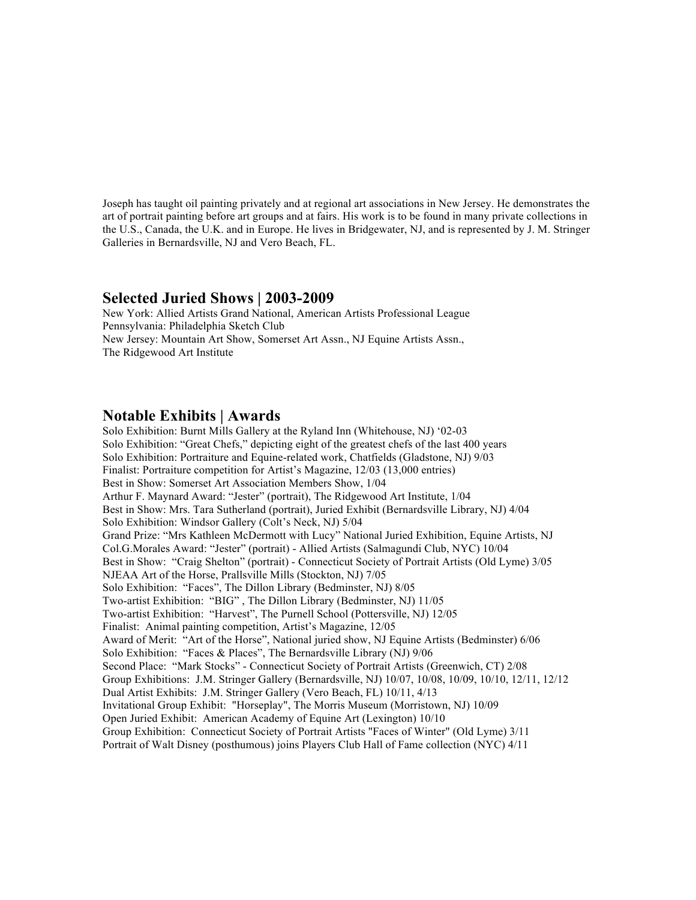Joseph has taught oil painting privately and at regional art associations in New Jersey. He demonstrates the art of portrait painting before art groups and at fairs. His work is to be found in many private collections in the U.S., Canada, the U.K. and in Europe. He lives in Bridgewater, NJ, and is represented by J. M. Stringer Galleries in Bernardsville, NJ and Vero Beach, FL.

## **Selected Juried Shows | 2003-2009**

New York: Allied Artists Grand National, American Artists Professional League Pennsylvania: Philadelphia Sketch Club New Jersey: Mountain Art Show, Somerset Art Assn., NJ Equine Artists Assn., The Ridgewood Art Institute

## **Notable Exhibits | Awards**

Solo Exhibition: Burnt Mills Gallery at the Ryland Inn (Whitehouse, NJ) '02-03 Solo Exhibition: "Great Chefs," depicting eight of the greatest chefs of the last 400 years Solo Exhibition: Portraiture and Equine-related work, Chatfields (Gladstone, NJ) 9/03 Finalist: Portraiture competition for Artist's Magazine, 12/03 (13,000 entries) Best in Show: Somerset Art Association Members Show, 1/04 Arthur F. Maynard Award: "Jester" (portrait), The Ridgewood Art Institute, 1/04 Best in Show: Mrs. Tara Sutherland (portrait), Juried Exhibit (Bernardsville Library, NJ) 4/04 Solo Exhibition: Windsor Gallery (Colt's Neck, NJ) 5/04 Grand Prize: "Mrs Kathleen McDermott with Lucy" National Juried Exhibition, Equine Artists, NJ Col.G.Morales Award: "Jester" (portrait) - Allied Artists (Salmagundi Club, NYC) 10/04 Best in Show: "Craig Shelton" (portrait) - Connecticut Society of Portrait Artists (Old Lyme) 3/05 NJEAA Art of the Horse, Prallsville Mills (Stockton, NJ) 7/05 Solo Exhibition: "Faces", The Dillon Library (Bedminster, NJ) 8/05 Two-artist Exhibition: "BIG" , The Dillon Library (Bedminster, NJ) 11/05 Two-artist Exhibition: "Harvest", The Purnell School (Pottersville, NJ) 12/05 Finalist: Animal painting competition, Artist's Magazine, 12/05 Award of Merit: "Art of the Horse", National juried show, NJ Equine Artists (Bedminster) 6/06 Solo Exhibition: "Faces & Places", The Bernardsville Library (NJ) 9/06 Second Place: "Mark Stocks" - Connecticut Society of Portrait Artists (Greenwich, CT) 2/08 Group Exhibitions: J.M. Stringer Gallery (Bernardsville, NJ) 10/07, 10/08, 10/09, 10/10, 12/11, 12/12 Dual Artist Exhibits: J.M. Stringer Gallery (Vero Beach, FL) 10/11, 4/13 Invitational Group Exhibit: "Horseplay", The Morris Museum (Morristown, NJ) 10/09 Open Juried Exhibit: American Academy of Equine Art (Lexington) 10/10 Group Exhibition: Connecticut Society of Portrait Artists "Faces of Winter" (Old Lyme) 3/11 Portrait of Walt Disney (posthumous) joins Players Club Hall of Fame collection (NYC) 4/11